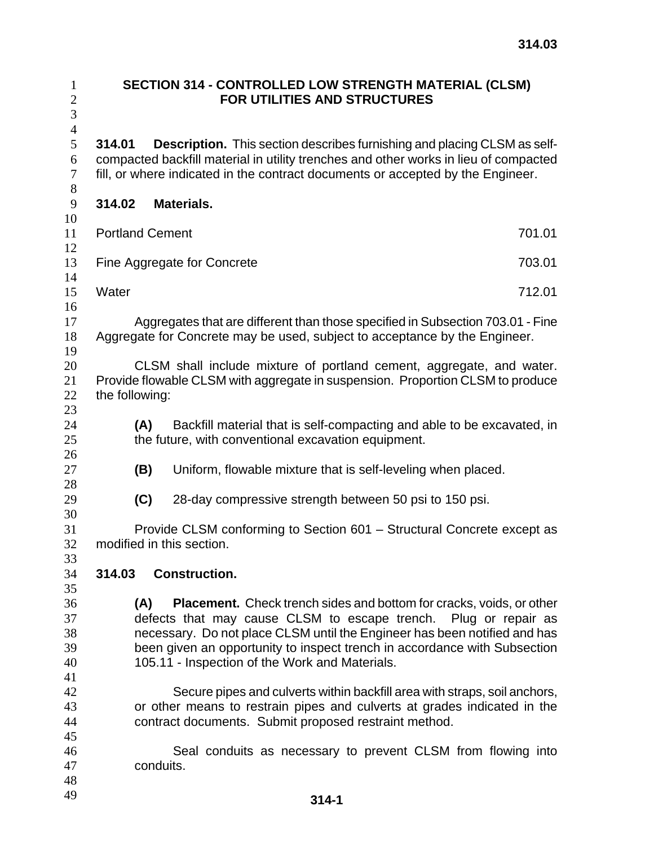| $\mathbf{1}$<br>$\mathbf{2}$<br>3<br>$\overline{4}$ | SECTION 314 - CONTROLLED LOW STRENGTH MATERIAL (CLSM)<br><b>FOR UTILITIES AND STRUCTURES</b>                                                                                                                                                                                                                                                                      |                                                                                                                                                              |                                                              |        |  |
|-----------------------------------------------------|-------------------------------------------------------------------------------------------------------------------------------------------------------------------------------------------------------------------------------------------------------------------------------------------------------------------------------------------------------------------|--------------------------------------------------------------------------------------------------------------------------------------------------------------|--------------------------------------------------------------|--------|--|
| 5<br>6<br>$\overline{7}$<br>$8\,$                   | <b>Description.</b> This section describes furnishing and placing CLSM as self-<br>314.01<br>compacted backfill material in utility trenches and other works in lieu of compacted<br>fill, or where indicated in the contract documents or accepted by the Engineer.                                                                                              |                                                                                                                                                              |                                                              |        |  |
| $\mathbf{9}$                                        | <b>Materials.</b><br>314.02                                                                                                                                                                                                                                                                                                                                       |                                                                                                                                                              |                                                              |        |  |
| 10<br>11                                            | <b>Portland Cement</b><br>701.01                                                                                                                                                                                                                                                                                                                                  |                                                                                                                                                              |                                                              |        |  |
| 12<br>13<br>14                                      | Fine Aggregate for Concrete<br>703.01                                                                                                                                                                                                                                                                                                                             |                                                                                                                                                              |                                                              |        |  |
| 15<br>16                                            | Water                                                                                                                                                                                                                                                                                                                                                             |                                                                                                                                                              |                                                              | 712.01 |  |
| 17<br>18<br>19                                      |                                                                                                                                                                                                                                                                                                                                                                   | Aggregates that are different than those specified in Subsection 703.01 - Fine<br>Aggregate for Concrete may be used, subject to acceptance by the Engineer. |                                                              |        |  |
| 20<br>21<br>22<br>23                                | CLSM shall include mixture of portland cement, aggregate, and water.<br>Provide flowable CLSM with aggregate in suspension. Proportion CLSM to produce<br>the following:                                                                                                                                                                                          |                                                                                                                                                              |                                                              |        |  |
| 24<br>25<br>26                                      |                                                                                                                                                                                                                                                                                                                                                                   | Backfill material that is self-compacting and able to be excavated, in<br>(A)<br>the future, with conventional excavation equipment.                         |                                                              |        |  |
| 27<br>28                                            |                                                                                                                                                                                                                                                                                                                                                                   | (B)                                                                                                                                                          | Uniform, flowable mixture that is self-leveling when placed. |        |  |
| 29<br>30                                            |                                                                                                                                                                                                                                                                                                                                                                   | (C)                                                                                                                                                          | 28-day compressive strength between 50 psi to 150 psi.       |        |  |
| 31<br>32<br>33                                      | Provide CLSM conforming to Section 601 - Structural Concrete except as<br>modified in this section.                                                                                                                                                                                                                                                               |                                                                                                                                                              |                                                              |        |  |
| 34<br>35                                            | 314.03                                                                                                                                                                                                                                                                                                                                                            |                                                                                                                                                              | <b>Construction.</b>                                         |        |  |
| 36<br>37<br>38<br>39<br>40<br>41                    | (A)<br><b>Placement.</b> Check trench sides and bottom for cracks, voids, or other<br>defects that may cause CLSM to escape trench. Plug or repair as<br>necessary. Do not place CLSM until the Engineer has been notified and has<br>been given an opportunity to inspect trench in accordance with Subsection<br>105.11 - Inspection of the Work and Materials. |                                                                                                                                                              |                                                              |        |  |
| 42<br>43<br>44<br>45                                | Secure pipes and culverts within backfill area with straps, soil anchors,<br>or other means to restrain pipes and culverts at grades indicated in the<br>contract documents. Submit proposed restraint method.                                                                                                                                                    |                                                                                                                                                              |                                                              |        |  |
| 46<br>47<br>48                                      |                                                                                                                                                                                                                                                                                                                                                                   | conduits.                                                                                                                                                    | Seal conduits as necessary to prevent CLSM from flowing into |        |  |